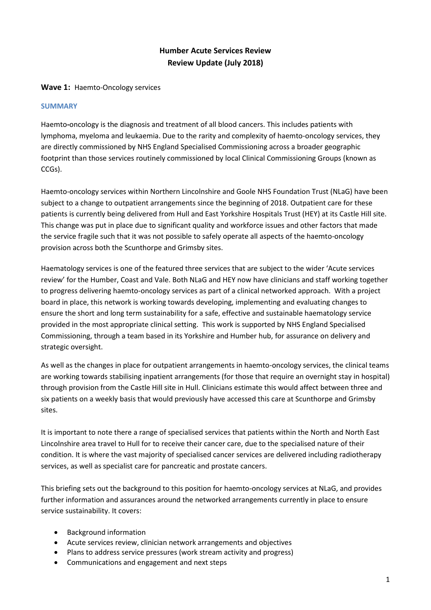# **Humber Acute Services Review Review Update (July 2018)**

### **Wave 1:** Haemto-Oncology services

### **SUMMARY**

Haemto**-**oncology is the diagnosis and treatment of all blood cancers. This includes patients with lymphoma, myeloma and leukaemia. Due to the rarity and complexity of haemto-oncology services, they are directly commissioned by NHS England Specialised Commissioning across a broader geographic footprint than those services routinely commissioned by local Clinical Commissioning Groups (known as CCGs).

Haemto-oncology services within Northern Lincolnshire and Goole NHS Foundation Trust (NLaG) have been subject to a change to outpatient arrangements since the beginning of 2018. Outpatient care for these patients is currently being delivered from Hull and East Yorkshire Hospitals Trust (HEY) at its Castle Hill site. This change was put in place due to significant quality and workforce issues and other factors that made the service fragile such that it was not possible to safely operate all aspects of the haemto-oncology provision across both the Scunthorpe and Grimsby sites.

Haematology services is one of the featured three services that are subject to the wider 'Acute services review' for the Humber, Coast and Vale. Both NLaG and HEY now have clinicians and staff working together to progress delivering haemto-oncology services as part of a clinical networked approach. With a project board in place, this network is working towards developing, implementing and evaluating changes to ensure the short and long term sustainability for a safe, effective and sustainable haematology service provided in the most appropriate clinical setting. This work is supported by NHS England Specialised Commissioning, through a team based in its Yorkshire and Humber hub, for assurance on delivery and strategic oversight.

As well as the changes in place for outpatient arrangements in haemto-oncology services, the clinical teams are working towards stabilising inpatient arrangements (for those that require an overnight stay in hospital) through provision from the Castle Hill site in Hull. Clinicians estimate this would affect between three and six patients on a weekly basis that would previously have accessed this care at Scunthorpe and Grimsby sites.

It is important to note there a range of specialised services that patients within the North and North East Lincolnshire area travel to Hull for to receive their cancer care, due to the specialised nature of their condition. It is where the vast majority of specialised cancer services are delivered including radiotherapy services, as well as specialist care for pancreatic and prostate cancers.

This briefing sets out the background to this position for haemto-oncology services at NLaG, and provides further information and assurances around the networked arrangements currently in place to ensure service sustainability. It covers:

- Background information
- Acute services review, clinician network arrangements and objectives
- Plans to address service pressures (work stream activity and progress)
- Communications and engagement and next steps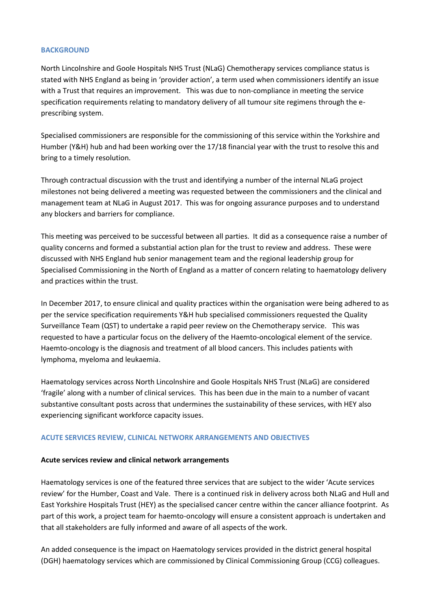#### **BACKGROUND**

North Lincolnshire and Goole Hospitals NHS Trust (NLaG) Chemotherapy services compliance status is stated with NHS England as being in 'provider action', a term used when commissioners identify an issue with a Trust that requires an improvement. This was due to non-compliance in meeting the service specification requirements relating to mandatory delivery of all tumour site regimens through the eprescribing system.

Specialised commissioners are responsible for the commissioning of this service within the Yorkshire and Humber (Y&H) hub and had been working over the 17/18 financial year with the trust to resolve this and bring to a timely resolution.

Through contractual discussion with the trust and identifying a number of the internal NLaG project milestones not being delivered a meeting was requested between the commissioners and the clinical and management team at NLaG in August 2017. This was for ongoing assurance purposes and to understand any blockers and barriers for compliance.

This meeting was perceived to be successful between all parties. It did as a consequence raise a number of quality concerns and formed a substantial action plan for the trust to review and address. These were discussed with NHS England hub senior management team and the regional leadership group for Specialised Commissioning in the North of England as a matter of concern relating to haematology delivery and practices within the trust.

In December 2017, to ensure clinical and quality practices within the organisation were being adhered to as per the service specification requirements Y&H hub specialised commissioners requested the Quality Surveillance Team (QST) to undertake a rapid peer review on the Chemotherapy service. This was requested to have a particular focus on the delivery of the Haemto-oncological element of the service. Haemto-oncology is the diagnosis and treatment of all blood cancers. This includes patients with lymphoma, myeloma and leukaemia.

Haematology services across North Lincolnshire and Goole Hospitals NHS Trust (NLaG) are considered 'fragile' along with a number of clinical services. This has been due in the main to a number of vacant substantive consultant posts across that undermines the sustainability of these services, with HEY also experiencing significant workforce capacity issues.

# **ACUTE SERVICES REVIEW, CLINICAL NETWORK ARRANGEMENTS AND OBJECTIVES**

### **Acute services review and clinical network arrangements**

Haematology services is one of the featured three services that are subject to the wider 'Acute services review' for the Humber, Coast and Vale. There is a continued risk in delivery across both NLaG and Hull and East Yorkshire Hospitals Trust (HEY) as the specialised cancer centre within the cancer alliance footprint. As part of this work, a project team for haemto-oncology will ensure a consistent approach is undertaken and that all stakeholders are fully informed and aware of all aspects of the work.

An added consequence is the impact on Haematology services provided in the district general hospital (DGH) haematology services which are commissioned by Clinical Commissioning Group (CCG) colleagues.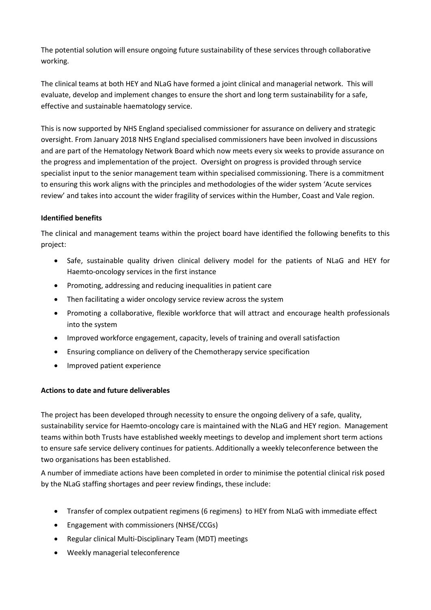The potential solution will ensure ongoing future sustainability of these services through collaborative working.

The clinical teams at both HEY and NLaG have formed a joint clinical and managerial network. This will evaluate, develop and implement changes to ensure the short and long term sustainability for a safe, effective and sustainable haematology service.

This is now supported by NHS England specialised commissioner for assurance on delivery and strategic oversight. From January 2018 NHS England specialised commissioners have been involved in discussions and are part of the Hematology Network Board which now meets every six weeks to provide assurance on the progress and implementation of the project. Oversight on progress is provided through service specialist input to the senior management team within specialised commissioning. There is a commitment to ensuring this work aligns with the principles and methodologies of the wider system 'Acute services review' and takes into account the wider fragility of services within the Humber, Coast and Vale region.

# **Identified benefits**

The clinical and management teams within the project board have identified the following benefits to this project:

- Safe, sustainable quality driven clinical delivery model for the patients of NLaG and HEY for Haemto-oncology services in the first instance
- Promoting, addressing and reducing inequalities in patient care
- Then facilitating a wider oncology service review across the system
- Promoting a collaborative, flexible workforce that will attract and encourage health professionals into the system
- Improved workforce engagement, capacity, levels of training and overall satisfaction
- Ensuring compliance on delivery of the Chemotherapy service specification
- Improved patient experience

# **Actions to date and future deliverables**

The project has been developed through necessity to ensure the ongoing delivery of a safe, quality, sustainability service for Haemto-oncology care is maintained with the NLaG and HEY region. Management teams within both Trusts have established weekly meetings to develop and implement short term actions to ensure safe service delivery continues for patients. Additionally a weekly teleconference between the two organisations has been established.

A number of immediate actions have been completed in order to minimise the potential clinical risk posed by the NLaG staffing shortages and peer review findings, these include:

- Transfer of complex outpatient regimens (6 regimens) to HEY from NLaG with immediate effect
- Engagement with commissioners (NHSE/CCGs)
- Regular clinical Multi-Disciplinary Team (MDT) meetings
- Weekly managerial teleconference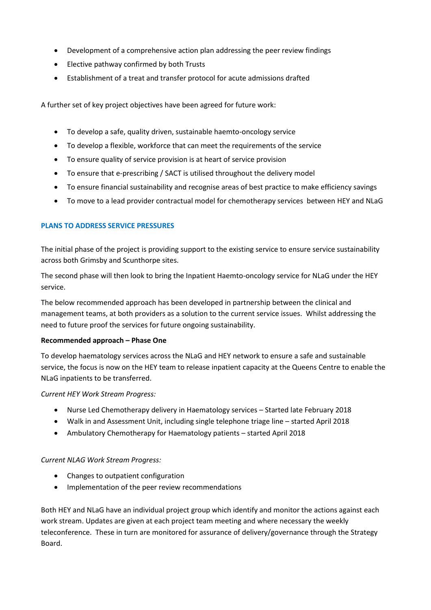- Development of a comprehensive action plan addressing the peer review findings
- Elective pathway confirmed by both Trusts
- Establishment of a treat and transfer protocol for acute admissions drafted

A further set of key project objectives have been agreed for future work:

- To develop a safe, quality driven, sustainable haemto-oncology service
- To develop a flexible, workforce that can meet the requirements of the service
- To ensure quality of service provision is at heart of service provision
- To ensure that e-prescribing / SACT is utilised throughout the delivery model
- To ensure financial sustainability and recognise areas of best practice to make efficiency savings
- To move to a lead provider contractual model for chemotherapy services between HEY and NLaG

### **PLANS TO ADDRESS SERVICE PRESSURES**

The initial phase of the project is providing support to the existing service to ensure service sustainability across both Grimsby and Scunthorpe sites.

The second phase will then look to bring the Inpatient Haemto-oncology service for NLaG under the HEY service.

The below recommended approach has been developed in partnership between the clinical and management teams, at both providers as a solution to the current service issues. Whilst addressing the need to future proof the services for future ongoing sustainability.

### **Recommended approach – Phase One**

To develop haematology services across the NLaG and HEY network to ensure a safe and sustainable service, the focus is now on the HEY team to release inpatient capacity at the Queens Centre to enable the NLaG inpatients to be transferred.

*Current HEY Work Stream Progress:*

- Nurse Led Chemotherapy delivery in Haematology services Started late February 2018
- Walk in and Assessment Unit, including single telephone triage line started April 2018
- Ambulatory Chemotherapy for Haematology patients started April 2018

### *Current NLAG Work Stream Progress:*

- Changes to outpatient configuration
- Implementation of the peer review recommendations

Both HEY and NLaG have an individual project group which identify and monitor the actions against each work stream. Updates are given at each project team meeting and where necessary the weekly teleconference. These in turn are monitored for assurance of delivery/governance through the Strategy Board.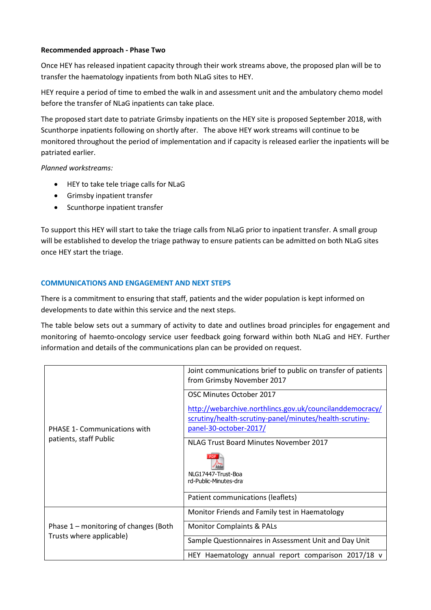### **Recommended approach - Phase Two**

Once HEY has released inpatient capacity through their work streams above, the proposed plan will be to transfer the haematology inpatients from both NLaG sites to HEY.

HEY require a period of time to embed the walk in and assessment unit and the ambulatory chemo model before the transfer of NLaG inpatients can take place.

The proposed start date to patriate Grimsby inpatients on the HEY site is proposed September 2018, with Scunthorpe inpatients following on shortly after. The above HEY work streams will continue to be monitored throughout the period of implementation and if capacity is released earlier the inpatients will be patriated earlier.

*Planned workstreams:*

- $\bullet$  HEY to take tele triage calls for NLaG
- Grimsby inpatient transfer
- Scunthorpe inpatient transfer

To support this HEY will start to take the triage calls from NLaG prior to inpatient transfer. A small group will be established to develop the triage pathway to ensure patients can be admitted on both NLaG sites once HEY start the triage.

# **COMMUNICATIONS AND ENGAGEMENT AND NEXT STEPS**

There is a commitment to ensuring that staff, patients and the wider population is kept informed on developments to date within this service and the next steps.

The table below sets out a summary of activity to date and outlines broad principles for engagement and monitoring of haemto-oncology service user feedback going forward within both NLaG and HEY. Further information and details of the communications plan can be provided on request.

| <b>PHASE 1- Communications with</b><br>patients, staff Public     | Joint communications brief to public on transfer of patients<br>from Grimsby November 2017                                                    |
|-------------------------------------------------------------------|-----------------------------------------------------------------------------------------------------------------------------------------------|
|                                                                   | OSC Minutes October 2017                                                                                                                      |
|                                                                   | http://webarchive.northlincs.gov.uk/councilanddemocracy/<br>scrutiny/health-scrutiny-panel/minutes/health-scrutiny-<br>panel-30-october-2017/ |
|                                                                   | NLAG Trust Board Minutes November 2017                                                                                                        |
|                                                                   | NLG17447-Trust-Boa<br>rd-Public-Minutes-dra                                                                                                   |
|                                                                   | Patient communications (leaflets)                                                                                                             |
| Phase 1 – monitoring of changes (Both<br>Trusts where applicable) | Monitor Friends and Family test in Haematology                                                                                                |
|                                                                   | <b>Monitor Complaints &amp; PALs</b>                                                                                                          |
|                                                                   | Sample Questionnaires in Assessment Unit and Day Unit                                                                                         |
|                                                                   | HEY Haematology annual report comparison 2017/18 v                                                                                            |